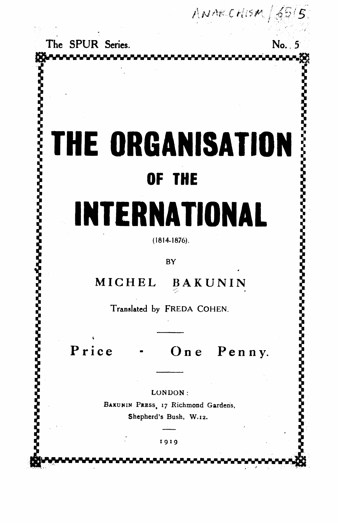$AMACHISM/65/5$ 

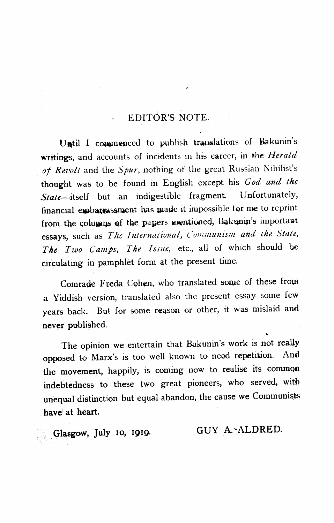#### $\cdot$  editor's note.

Until I commenced to publish translations of Bakunin's writings, and accounts of incidents in his career, in the Herald of Revolt and the  $S_{\text{p}}$ , nothing of the great Russian Nihilist's thought was to be found in English except his God and the State—itself but an indigestible fragment. Unfortunately, financial embarrassment has made it impossible for me to reprint from the columns of the papers mentioned, Bakunin's important essays, such as The International, Communism and the State, The Two Camps, The Issue, etc., all of which should be circulating in pamphlet form at the present time.

Comrade Freda Cohen, who translated some of these from <sup>a</sup> Yiddish version, translated also the present essay some few years back. But for some reason or other, it was mislaid and never published.

>>

The opinion we entertain that Bakunin's work is not really opposed to Marx's istoo well known to need repetition. And the movement, happily, is coming now to realise its common indebtedness to these two great pioneers, who served, with unequal distinction but equal abandon, the cause we Communists have at heart.

Glasgow, July 10, 1919. GUY A. ALDRED.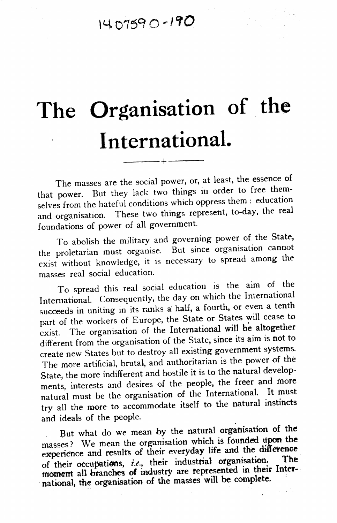### 1407590-190

# The Organisation of the International.

The masses are the social power, or, at least, the essence of that power. But they lack two things in order to free themselves from the hateful conditions which oppress them : education and organisation. These two things represent, to-day, the real foundations of power of all government.

-+-

To abolish the military and governing power of the State, the proletarian must organise. But since organisation cannot exist without knowledge, it is necessary to spread among the masses real social education.

To spread this real social education is the aim of the International. Consequently, the day on which the International succeeds in uniting in its ranks a' half, <sup>a</sup> fourth, or even <sup>a</sup> tenth part of the workers of Europe, the State or States will cease to exist. The organisation of the International will be altogether different from the organisation of the State, since its aim is not to create new States but to destroy all existing government systems. The more artificial, brutal, and authoritarian is the power of the State, the more indifferent and hostile it is to the natural developments, interests and desires of the people, the freer and more natural must be the organisation of the International. It must try all the more to accommodate itself to the natural instincts and ideals of the people.

But what do we mean by the natural organisation of the masses? We mean the organisation which is founded upon the experience and results of their everyday life and the difference of their occupations,  $i.e.,$  their industrial organisation. moment all branches of industry are represented in their international, the organisation of the masses will be complete.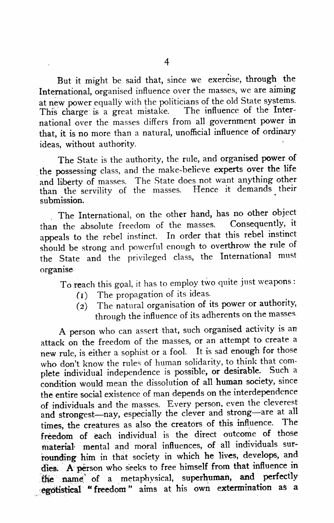But it might be said that, since we exercise, through the International, organised influence over the masses, we are aiming at new power equally with the politicians of the old State systems.<br>This charge is a great mistake. The influence of the Inter-This charge is a great mistake. national over the masses differs from all government power in that, it is no more than <sup>a</sup> natural, unofficial influence of ordinary ideas, without authority.

The State is the authority, the rule, and organised power of the possessing class, and the make-believe experts over the life and liberty of masses. The State does not want anything other than the servility of the masses. Hence it demands their submission.

The International, on the other hand, has no other object<br>in the absolute freedom of the masses. Consequently, it than the absolute freedom of the masses. appeals to the rebel instinct. In order that this rebel instinct should be strong and powerful enough to overthrow the rule of the State and the privileged class, the International must organise

To reach this goal, it has to employ two quite just weapons:

- (i) The propagation of its ideas.
- (2) The natural organisation of its power or authority, through the influence of its adherents on the masses

A person who can assert that, such organised activity is an attack on the freedom of the masses, or an attempt to create <sup>a</sup> new rule, is either <sup>a</sup> sophist or <sup>a</sup> fool. It is sad enough for those who don't know the rules of human solidarity, to think that complete individual independence is possible, or desirable. Such <sup>a</sup> condition would mean the dissolution of all human society, since the entire social existence of man depends on the interdependence of individuals and the masses. Every person, even the cleverest and strongest—nay, especially the clever and strong—are at all times, the creatures as also the creators of this influence. The freedom of each individual is the direct outcome of those material' mental and moral influences, of all individuals sur rounding him in that society in which he lives, develops, and dies. A person who seeks to free himself from that influence in the name of a metaphysical, superhuman, and perfectly egotistical "freedom" aims at his own extermination as a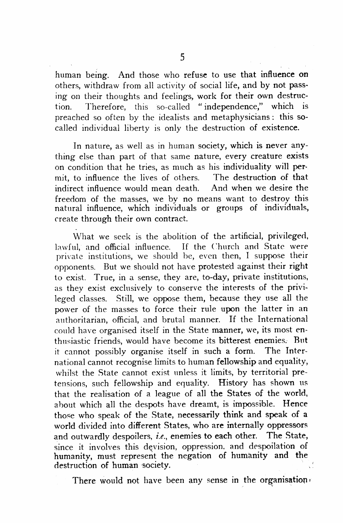human being. And those who refuse to use that influence on others, withdraw from all activity of social life, and by not pass ing on their thoughts and feelings, work for their own destruction. Therefore, this so-called " independence/' which is preached so often by the idealists and metaphysicians : this so called individual liberty is only the destruction of existence.

In nature, as well as in human society, which is never anything else than part of that same nature, every creature exists on condition that he tries, as much as his individuality will permit, to influence the lives of others. The destruction of that indirect influence would mean death. And when we desire the freedom of the masses, we by no means want to destroy this natural influence, which individuals or groups of individuals, create through their own contract.

What we seek is the abolition of the artificial, privileged, lawful, and official influence. If the Church and State were private institutions, we should be, even then, I suppose their opponents. But we should not have protested against their right to exist. True, in a sense, they are, to-day, private institutions, as they exist exclusively to conserve the interests of the privileged classes. Still, we oppose them, because they use all the power of the masses to force their rule upon the latter in an authoritarian, official, and brutal manner. If the International could have organised itself in the State manner, we, its most enthusiastic friends, would have become its bitterest enemies. But it cannot possibly organise itself in such a form. The Inter national cannot recognise limits to human fellowship and equality, whilst the State cannot exist unless it limits, by territorial pretensions, such fellowship and equality. History has shown us that the realisation of a league of all the States of the world, about which all the despots have dreamt, is impossible. Hence those who speak of the State, necessarily think and speak of <sup>a</sup> world divided into different States, who are internally oppressors and outwardly despoilers, i.e., enemies to each other. The State, since it involves this devision, oppression, and despoliation of humanity, must represent the negation of humanity and the destruction of human society.

There would not have been any sense in the organisation.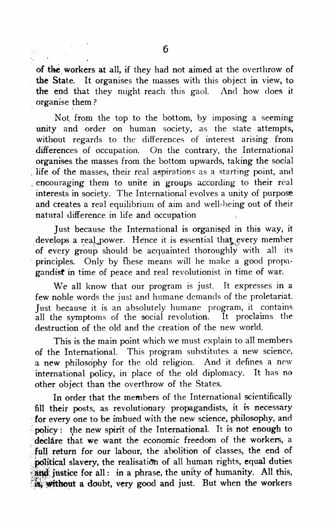of the Workers at all, if they had not aimed at the overthrow of the State. It organises the masses with this object in view, to the end that they might reach this gaol. And how does it organise them ?

Not from the top to the bottom, by imposing a seeming unity and order on human society, as the state attempts, without regards to the differences of interest arising from differences of occupation. On the contrary, the International organises the masses from the bottom upwards, taking the social , life of the masses, their real aspirations as a starting point, and . encouraging them to unite in groups according to their real interests in society. The International evolves a unity of purpose and creates a real equilibrium of aim and well-being out of their natural difference in life and occupation

Just because the International is organised in this way, it develops a real power. Hence it is essential that every member of every group should be acquainted thoroughly with all its principles. Only by these means will he make a good propagandist in time of peace and real revolutionist in time of war.

We all know that our program is just. It expresses in <sup>a</sup> few noble words the just and humane demands of the proletariat. Just because it is an absolutely humane program, it contains all the symptoms of the social revolution. It proclaims the destruction of the old and the creation of the new world.

This is the main point which we must explain to all members of the International. This program substitutes a new science, <sup>a</sup> new philosophy for the old religion. And it defines <sup>a</sup> new international policy, in place of the old diplomacy. It has no other object than the overthrow of the States.

In order that the members of the International scientifically fill their posts, as revolutionary propagandists, it is necessary for every one to be imbued with the new science, philosophy, and policy : the new spirit of the International. It is not enough to declare that we want the economic freedom of the workers, a full return for our labour, the abolition of classes, the end of political slavery, the realisation of all human rights, equal duties  $\frac{1}{2}$  justice for all : in a phrase, the unity of humanity. All this, is without a doubt, very good and just. But when the workers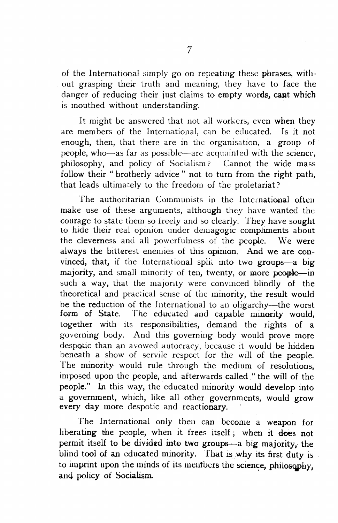of the International simply go on repeating these phrases, with out grasping their truth and meaning, they have to face the danger of reducing their just claims to empty words, cant which is mouthed without understanding.

It might be answered that not all workers, even when they are members of the International, can be educated. Is it not enough, then, that there are in the organisation, a group of people, who—as far as possible—are acquainted with the science, philosophy, and policy of Socialism ? Cannot the wide mass follow their " brotherly advice " not to turn from the right path, that leads ultimately to the freedom of the proletariat?

The authoritarian Communists in the International often make use of these arguments, although they have wanted the courage to state them so freely and so clearly. They have sought to hide their real opinion under demagogic compliments about the cleverness and all powerfulness of the people. We were always the bitterest enemies of this opinion. And we are convinced, that, if the International split into two groups—<sup>a</sup> big majority, and small minority of ten, twenty, or more people—in such a way, that the majority were convinced blindly of the theoretical and practical sense of the minority, the result would be the reduction of the International to an oligarchy—the worst form of State. The educated and capable minority would, together with its responsibilities, demand the rights of a governing body. And this governing body would prove more despotic than an avowed autocracy, because it would be hidden beneath a show of servile respect for the will of the people. The minority would rule through the medium of resolutions, imposed upon the people, and afterwards called "the will of the people." In this way, the educated minority would develop into a government, which, like all other governments, would grow every day more despotic and reactionary.

The International only then can become <sup>a</sup> weapon for liberating the people, when it frees itself ; when it does not permit itself to be divided into two groups—<sup>a</sup> big majority, the blind tool of an educated minority. That is why its first duty is to imprint upon the minds of its mentbers the science, philosophy, and policy of Socialism.